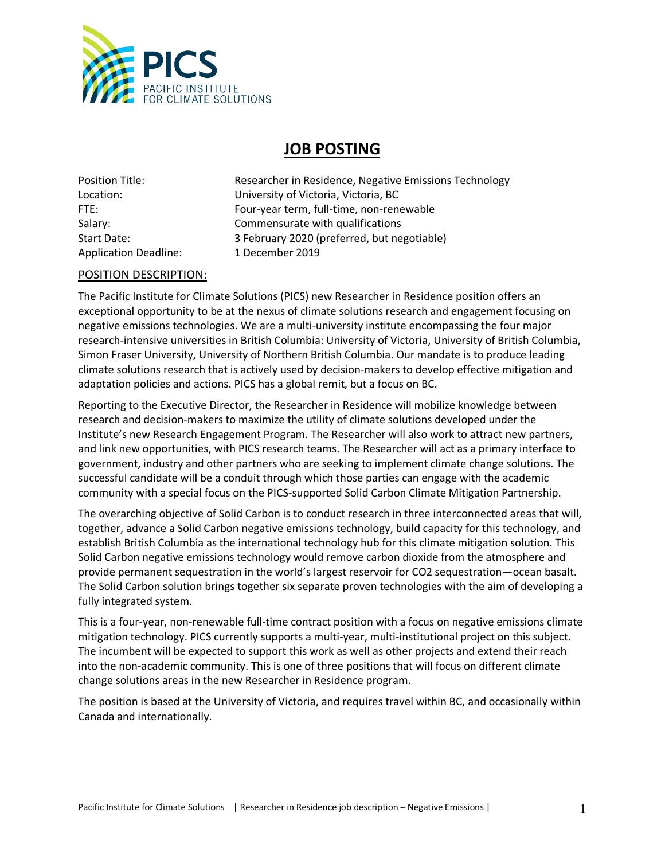

## **JOB POSTING**

Application Deadline: 1 December 2019

Position Title: Researcher in Residence, Negative Emissions Technology Location: University of Victoria, Victoria, BC FTE: Four-year term, full-time, non-renewable Salary: Salary: Commensurate with qualifications Start Date: 3 February 2020 (preferred, but negotiable)

## POSITION DESCRIPTION:

The Pacific Institute for Climate Solutions (PICS) new Researcher in Residence position offers an exceptional opportunity to be at the nexus of climate solutions research and engagement focusing on negative emissions technologies. We are a multi-university institute encompassing the four major research-intensive universities in British Columbia: University of Victoria, University of British Columbia, Simon Fraser University, University of Northern British Columbia. Our mandate is to produce leading climate solutions research that is actively used by decision-makers to develop effective mitigation and adaptation policies and actions. PICS has a global remit, but a focus on BC.

Reporting to the Executive Director, the Researcher in Residence will mobilize knowledge between research and decision-makers to maximize the utility of climate solutions developed under the Institute's new Research Engagement Program. The Researcher will also work to attract new partners, and link new opportunities, with PICS research teams. The Researcher will act as a primary interface to government, industry and other partners who are seeking to implement climate change solutions. The successful candidate will be a conduit through which those parties can engage with the academic community with a special focus on the PICS-supported Solid Carbon Climate Mitigation Partnership.

The overarching objective of Solid Carbon is to conduct research in three interconnected areas that will, together, advance a Solid Carbon negative emissions technology, build capacity for this technology, and establish British Columbia as the international technology hub for this climate mitigation solution. This Solid Carbon negative emissions technology would remove carbon dioxide from the atmosphere and provide permanent sequestration in the world's largest reservoir for CO2 sequestration—ocean basalt. The Solid Carbon solution brings together six separate proven technologies with the aim of developing a fully integrated system.

This is a four-year, non-renewable full-time contract position with a focus on negative emissions climate mitigation technology. PICS currently supports a multi-year, multi-institutional project on this subject. The incumbent will be expected to support this work as well as other projects and extend their reach into the non-academic community. This is one of three positions that will focus on different climate change solutions areas in the new Researcher in Residence program.

The position is based at the University of Victoria, and requires travel within BC, and occasionally within Canada and internationally.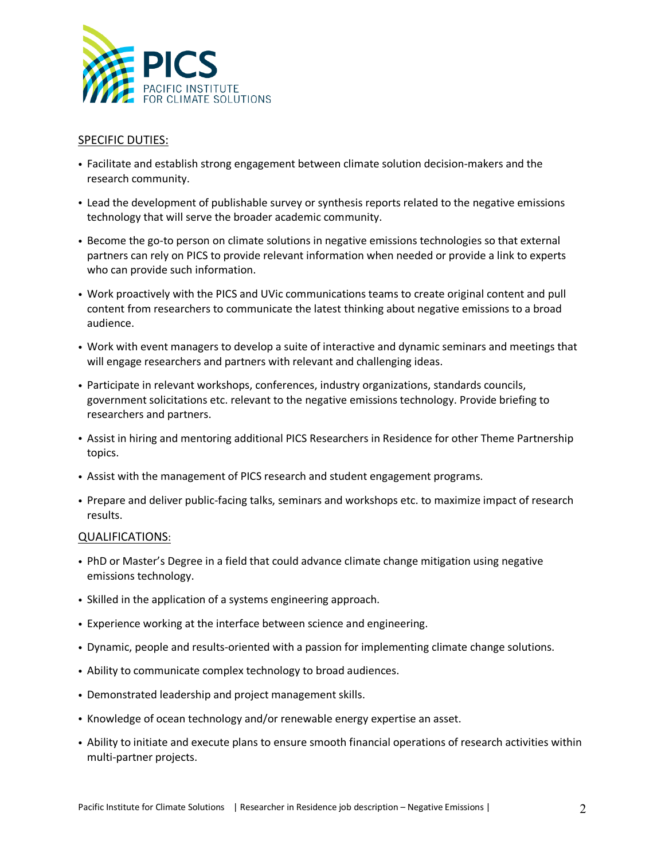

## SPECIFIC DUTIES:

- Facilitate and establish strong engagement between climate solution decision-makers and the research community.
- Lead the development of publishable survey or synthesis reports related to the negative emissions technology that will serve the broader academic community.
- Become the go-to person on climate solutions in negative emissions technologies so that external partners can rely on PICS to provide relevant information when needed or provide a link to experts who can provide such information.
- Work proactively with the PICS and UVic communications teams to create original content and pull content from researchers to communicate the latest thinking about negative emissions to a broad audience.
- Work with event managers to develop a suite of interactive and dynamic seminars and meetings that will engage researchers and partners with relevant and challenging ideas.
- Participate in relevant workshops, conferences, industry organizations, standards councils, government solicitations etc. relevant to the negative emissions technology. Provide briefing to researchers and partners.
- Assist in hiring and mentoring additional PICS Researchers in Residence for other Theme Partnership topics.
- Assist with the management of PICS research and student engagement programs.
- Prepare and deliver public-facing talks, seminars and workshops etc. to maximize impact of research results.

## QUALIFICATIONS:

- PhD or Master's Degree in a field that could advance climate change mitigation using negative emissions technology.
- Skilled in the application of a systems engineering approach.
- Experience working at the interface between science and engineering.
- Dynamic, people and results-oriented with a passion for implementing climate change solutions.
- Ability to communicate complex technology to broad audiences.
- Demonstrated leadership and project management skills.
- Knowledge of ocean technology and/or renewable energy expertise an asset.
- Ability to initiate and execute plans to ensure smooth financial operations of research activities within multi-partner projects.